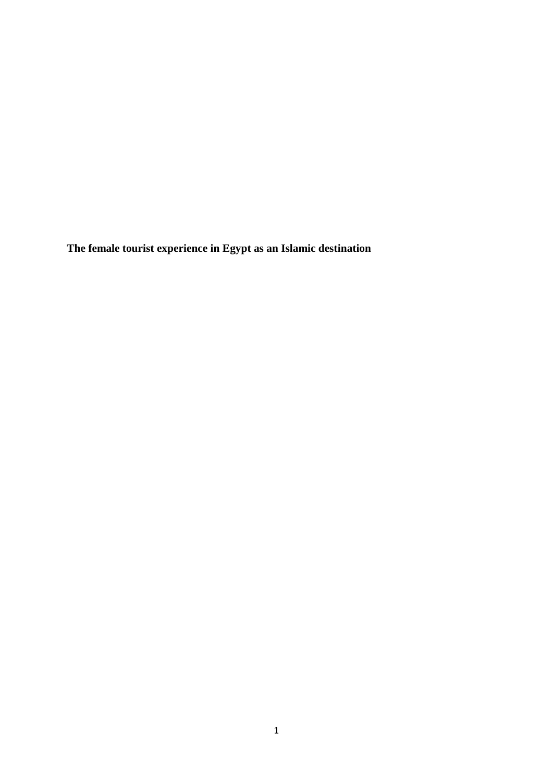**The female tourist experience in Egypt as an Islamic destination**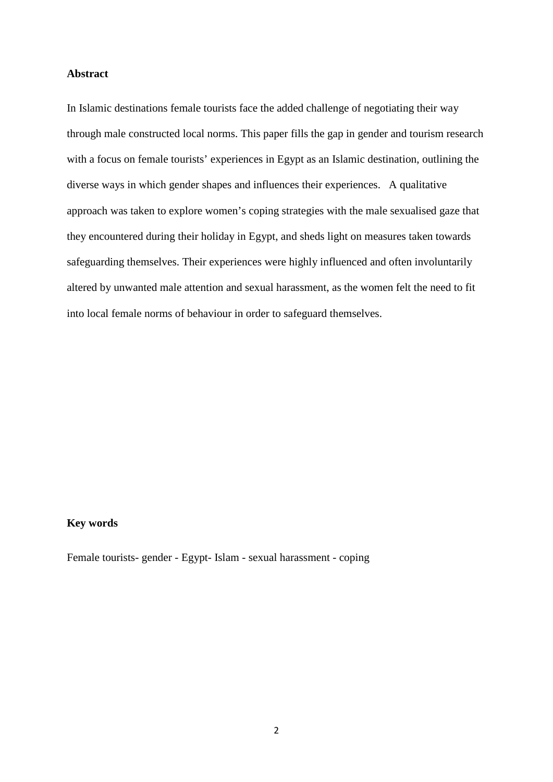### **Abstract**

In Islamic destinations female tourists face the added challenge of negotiating their way through male constructed local norms. This paper fills the gap in gender and tourism research with a focus on female tourists' experiences in Egypt as an Islamic destination, outlining the diverse ways in which gender shapes and influences their experiences. A qualitative approach was taken to explore women's coping strategies with the male sexualised gaze that they encountered during their holiday in Egypt, and sheds light on measures taken towards safeguarding themselves. Their experiences were highly influenced and often involuntarily altered by unwanted male attention and sexual harassment, as the women felt the need to fit into local female norms of behaviour in order to safeguard themselves.

### **Key words**

Female tourists- gender - Egypt- Islam - sexual harassment - coping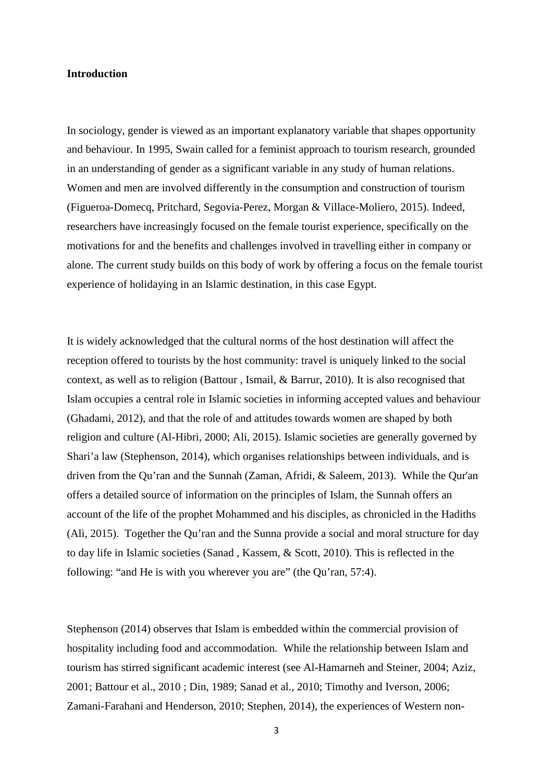## **Introduction**

In sociology, gender is viewed as an important explanatory variable that shapes opportunity and behaviour. In 1995, Swain called for a feminist approach to tourism research, grounded in an understanding of gender as a significant variable in any study of human relations. Women and men are involved differently in the consumption and construction of tourism (Figueroa-Domecq, Pritchard, Segovia-Perez, Morgan & Villace-Moliero, 2015). Indeed, researchers have increasingly focused on the female tourist experience, specifically on the motivations for and the benefits and challenges involved in travelling either in company or alone. The current study builds on this body of work by offering a focus on the female tourist experience of holidaying in an Islamic destination, in this case Egypt.

It is widely acknowledged that the cultural norms of the host destination will affect the reception offered to tourists by the host community: travel is uniquely linked to the social context, as well as to religion (Battour , Ismail, & Barrur, 2010). It is also recognised that Islam occupies a central role in Islamic societies in informing accepted values and behaviour (Ghadami, 2012), and that the role of and attitudes towards women are shaped by both religion and culture (Al-Hibri, 2000; Ali, 2015). Islamic societies are generally governed by Shari'a law (Stephenson, 2014), which organises relationships between individuals, and is driven from the Qu'ran and the Sunnah (Zaman, Afridi, & Saleem, 2013). While the Qur'an offers a detailed source of information on the principles of Islam, the Sunnah offers an account of the life of the prophet Mohammed and his disciples, as chronicled in the Hadiths (Ali, 2015). Together the Qu'ran and the Sunna provide a social and moral structure for day to day life in Islamic societies (Sanad , Kassem, & Scott, 2010). This is reflected in the following: "and He is with you wherever you are" (the Qu'ran, 57:4).

Stephenson (2014) observes that Islam is embedded within the commercial provision of hospitality including food and accommodation. While the relationship between Islam and tourism has stirred significant academic interest (see Al-Hamarneh and Steiner, 2004; Aziz, 2001; Battour et al., 2010 ; Din, 1989; Sanad et al., 2010; Timothy and Iverson, 2006; Zamani-Farahani and Henderson, 2010; Stephen, 2014), the experiences of Western non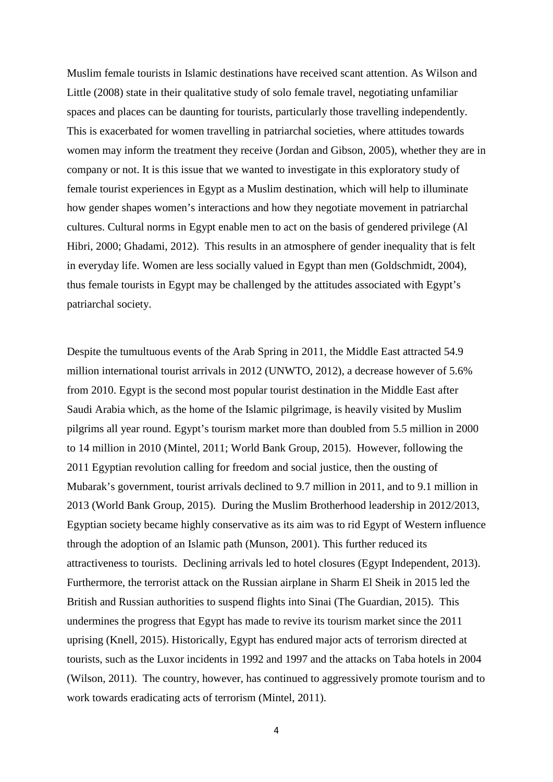Muslim female tourists in Islamic destinations have received scant attention. As Wilson and Little (2008) state in their qualitative study of solo female travel, negotiating unfamiliar spaces and places can be daunting for tourists, particularly those travelling independently. This is exacerbated for women travelling in patriarchal societies, where attitudes towards women may inform the treatment they receive (Jordan and Gibson, 2005), whether they are in company or not. It is this issue that we wanted to investigate in this exploratory study of female tourist experiences in Egypt as a Muslim destination, which will help to illuminate how gender shapes women's interactions and how they negotiate movement in patriarchal cultures. Cultural norms in Egypt enable men to act on the basis of gendered privilege (Al Hibri, 2000; Ghadami, 2012). This results in an atmosphere of gender inequality that is felt in everyday life. Women are less socially valued in Egypt than men (Goldschmidt, 2004), thus female tourists in Egypt may be challenged by the attitudes associated with Egypt's patriarchal society.

Despite the tumultuous events of the Arab Spring in 2011, the Middle East attracted 54.9 million international tourist arrivals in 2012 (UNWTO, 2012), a decrease however of 5.6% from 2010. Egypt is the second most popular tourist destination in the Middle East after Saudi Arabia which, as the home of the Islamic pilgrimage, is heavily visited by Muslim pilgrims all year round. Egypt's tourism market more than doubled from 5.5 million in 2000 to 14 million in 2010 (Mintel, 2011; World Bank Group, 2015). However, following the 2011 Egyptian revolution calling for freedom and social justice, then the ousting of Mubarak's government, tourist arrivals declined to 9.7 million in 2011, and to 9.1 million in 2013 (World Bank Group, 2015). During the Muslim Brotherhood leadership in 2012/2013, Egyptian society became highly conservative as its aim was to rid Egypt of Western influence through the adoption of an Islamic path (Munson, 2001). This further reduced its attractiveness to tourists. Declining arrivals led to hotel closures (Egypt Independent, 2013). Furthermore, the terrorist attack on the Russian airplane in Sharm El Sheik in 2015 led the British and Russian authorities to suspend flights into Sinai (The Guardian, 2015). This undermines the progress that Egypt has made to revive its tourism market since the 2011 uprising (Knell, 2015). Historically, Egypt has endured major acts of terrorism directed at tourists, such as the Luxor incidents in 1992 and 1997 and the attacks on Taba hotels in 2004 (Wilson, 2011). The country, however, has continued to aggressively promote tourism and to work towards eradicating acts of terrorism (Mintel, 2011).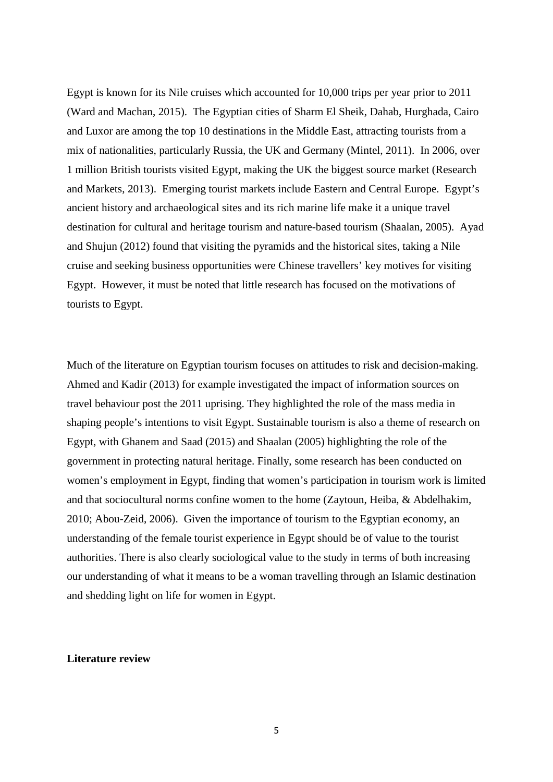Egypt is known for its Nile cruises which accounted for 10,000 trips per year prior to 2011 (Ward and Machan, 2015). The Egyptian cities of Sharm El Sheik, Dahab, Hurghada, Cairo and Luxor are among the top 10 destinations in the Middle East, attracting tourists from a mix of nationalities, particularly Russia, the UK and Germany (Mintel, 2011). In 2006, over 1 million British tourists visited Egypt, making the UK the biggest source market (Research and Markets, 2013). Emerging tourist markets include Eastern and Central Europe. Egypt's ancient history and archaeological sites and its rich marine life make it a unique travel destination for cultural and heritage tourism and nature-based tourism (Shaalan, 2005). Ayad and Shujun (2012) found that visiting the pyramids and the historical sites, taking a Nile cruise and seeking business opportunities were Chinese travellers' key motives for visiting Egypt. However, it must be noted that little research has focused on the motivations of tourists to Egypt.

Much of the literature on Egyptian tourism focuses on attitudes to risk and decision-making. Ahmed and Kadir (2013) for example investigated the impact of information sources on travel behaviour post the 2011 uprising. They highlighted the role of the mass media in shaping people's intentions to visit Egypt. Sustainable tourism is also a theme of research on Egypt, with Ghanem and Saad (2015) and Shaalan (2005) highlighting the role of the government in protecting natural heritage. Finally, some research has been conducted on women's employment in Egypt, finding that women's participation in tourism work is limited and that sociocultural norms confine women to the home (Zaytoun, Heiba, & Abdelhakim, 2010; Abou-Zeid, 2006). Given the importance of tourism to the Egyptian economy, an understanding of the female tourist experience in Egypt should be of value to the tourist authorities. There is also clearly sociological value to the study in terms of both increasing our understanding of what it means to be a woman travelling through an Islamic destination and shedding light on life for women in Egypt.

## **Literature review**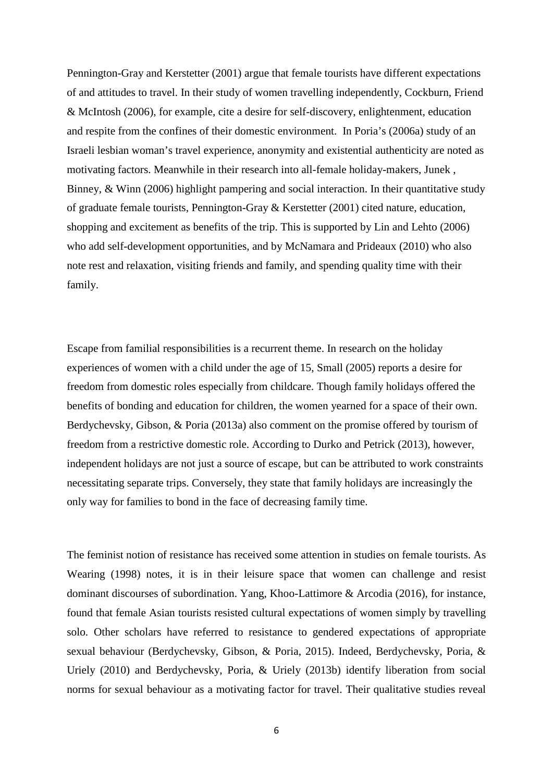Pennington-Gray and Kerstetter (2001) argue that female tourists have different expectations of and attitudes to travel. In their study of women travelling independently, Cockburn, Friend & McIntosh (2006), for example, cite a desire for self-discovery, enlightenment, education and respite from the confines of their domestic environment. In Poria's (2006a) study of an Israeli lesbian woman's travel experience, anonymity and existential authenticity are noted as motivating factors. Meanwhile in their research into all-female holiday-makers, Junek , Binney, & Winn (2006) highlight pampering and social interaction. In their quantitative study of graduate female tourists, Pennington-Gray & Kerstetter (2001) cited nature, education, shopping and excitement as benefits of the trip. This is supported by Lin and Lehto (2006) who add self-development opportunities, and by McNamara and Prideaux (2010) who also note rest and relaxation, visiting friends and family, and spending quality time with their family.

Escape from familial responsibilities is a recurrent theme. In research on the holiday experiences of women with a child under the age of 15, Small (2005) reports a desire for freedom from domestic roles especially from childcare. Though family holidays offered the benefits of bonding and education for children, the women yearned for a space of their own. Berdychevsky, Gibson, & Poria (2013a) also comment on the promise offered by tourism of freedom from a restrictive domestic role. According to Durko and Petrick (2013), however, independent holidays are not just a source of escape, but can be attributed to work constraints necessitating separate trips. Conversely, they state that family holidays are increasingly the only way for families to bond in the face of decreasing family time.

The feminist notion of resistance has received some attention in studies on female tourists. As Wearing (1998) notes, it is in their leisure space that women can challenge and resist dominant discourses of subordination. Yang, Khoo-Lattimore & Arcodia (2016), for instance, found that female Asian tourists resisted cultural expectations of women simply by travelling solo. Other scholars have referred to resistance to gendered expectations of appropriate sexual behaviour (Berdychevsky, Gibson, & Poria, 2015). Indeed, Berdychevsky, Poria, & Uriely (2010) and Berdychevsky, Poria, & Uriely (2013b) identify liberation from social norms for sexual behaviour as a motivating factor for travel. Their qualitative studies reveal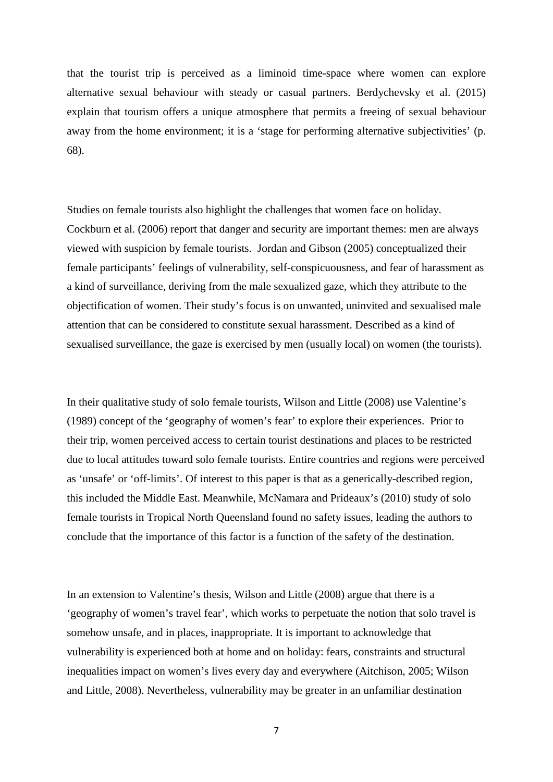that the tourist trip is perceived as a liminoid time-space where women can explore alternative sexual behaviour with steady or casual partners. Berdychevsky et al. (2015) explain that tourism offers a unique atmosphere that permits a freeing of sexual behaviour away from the home environment; it is a 'stage for performing alternative subjectivities' (p. 68).

Studies on female tourists also highlight the challenges that women face on holiday. Cockburn et al. (2006) report that danger and security are important themes: men are always viewed with suspicion by female tourists. Jordan and Gibson (2005) conceptualized their female participants' feelings of vulnerability, self-conspicuousness, and fear of harassment as a kind of surveillance, deriving from the male sexualized gaze, which they attribute to the objectification of women. Their study's focus is on unwanted, uninvited and sexualised male attention that can be considered to constitute sexual harassment. Described as a kind of sexualised surveillance, the gaze is exercised by men (usually local) on women (the tourists).

In their qualitative study of solo female tourists, Wilson and Little (2008) use Valentine's (1989) concept of the 'geography of women's fear' to explore their experiences. Prior to their trip, women perceived access to certain tourist destinations and places to be restricted due to local attitudes toward solo female tourists. Entire countries and regions were perceived as 'unsafe' or 'off-limits'. Of interest to this paper is that as a generically-described region, this included the Middle East. Meanwhile, McNamara and Prideaux's (2010) study of solo female tourists in Tropical North Queensland found no safety issues, leading the authors to conclude that the importance of this factor is a function of the safety of the destination.

In an extension to Valentine's thesis, Wilson and Little (2008) argue that there is a 'geography of women's travel fear', which works to perpetuate the notion that solo travel is somehow unsafe, and in places, inappropriate. It is important to acknowledge that vulnerability is experienced both at home and on holiday: fears, constraints and structural inequalities impact on women's lives every day and everywhere (Aitchison, 2005; Wilson and Little, 2008). Nevertheless, vulnerability may be greater in an unfamiliar destination

7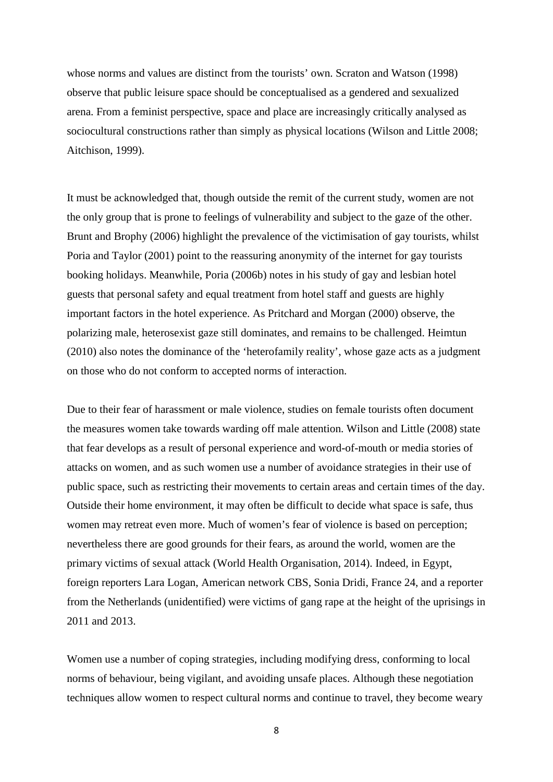whose norms and values are distinct from the tourists' own. Scraton and Watson (1998) observe that public leisure space should be conceptualised as a gendered and sexualized arena. From a feminist perspective, space and place are increasingly critically analysed as sociocultural constructions rather than simply as physical locations (Wilson and Little 2008; Aitchison, 1999).

It must be acknowledged that, though outside the remit of the current study, women are not the only group that is prone to feelings of vulnerability and subject to the gaze of the other. Brunt and Brophy (2006) highlight the prevalence of the victimisation of gay tourists, whilst Poria and Taylor (2001) point to the reassuring anonymity of the internet for gay tourists booking holidays. Meanwhile, Poria (2006b) notes in his study of gay and lesbian hotel guests that personal safety and equal treatment from hotel staff and guests are highly important factors in the hotel experience. As Pritchard and Morgan (2000) observe, the polarizing male, heterosexist gaze still dominates, and remains to be challenged. Heimtun (2010) also notes the dominance of the 'heterofamily reality', whose gaze acts as a judgment on those who do not conform to accepted norms of interaction.

Due to their fear of harassment or male violence, studies on female tourists often document the measures women take towards warding off male attention. Wilson and Little (2008) state that fear develops as a result of personal experience and word-of-mouth or media stories of attacks on women, and as such women use a number of avoidance strategies in their use of public space, such as restricting their movements to certain areas and certain times of the day. Outside their home environment, it may often be difficult to decide what space is safe, thus women may retreat even more. Much of women's fear of violence is based on perception; nevertheless there are good grounds for their fears, as around the world, women are the primary victims of sexual attack (World Health Organisation, 2014). Indeed, in Egypt, foreign reporters Lara Logan, American network CBS, Sonia Dridi, France 24, and a reporter from the Netherlands (unidentified) were victims of gang rape at the height of the uprisings in 2011 and 2013.

Women use a number of coping strategies, including modifying dress, conforming to local norms of behaviour, being vigilant, and avoiding unsafe places. Although these negotiation techniques allow women to respect cultural norms and continue to travel, they become weary

8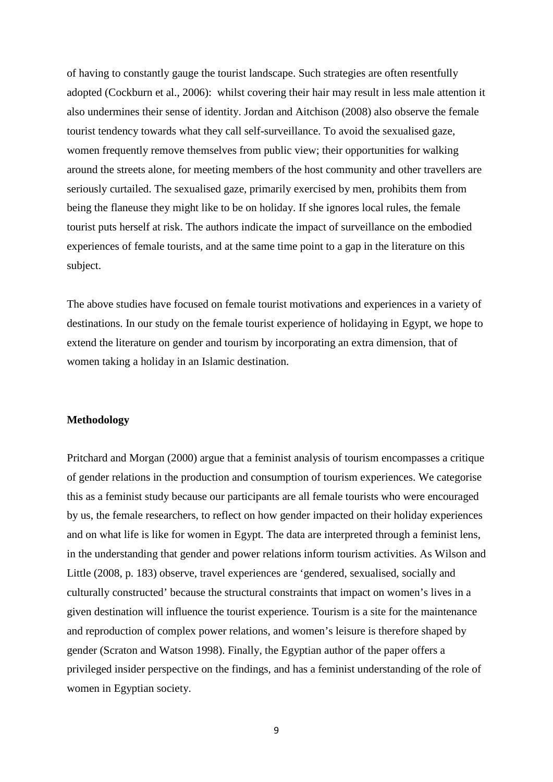of having to constantly gauge the tourist landscape. Such strategies are often resentfully adopted (Cockburn et al., 2006): whilst covering their hair may result in less male attention it also undermines their sense of identity. Jordan and Aitchison (2008) also observe the female tourist tendency towards what they call self-surveillance. To avoid the sexualised gaze, women frequently remove themselves from public view; their opportunities for walking around the streets alone, for meeting members of the host community and other travellers are seriously curtailed. The sexualised gaze, primarily exercised by men, prohibits them from being the flaneuse they might like to be on holiday. If she ignores local rules, the female tourist puts herself at risk. The authors indicate the impact of surveillance on the embodied experiences of female tourists, and at the same time point to a gap in the literature on this subject.

The above studies have focused on female tourist motivations and experiences in a variety of destinations. In our study on the female tourist experience of holidaying in Egypt, we hope to extend the literature on gender and tourism by incorporating an extra dimension, that of women taking a holiday in an Islamic destination.

#### **Methodology**

Pritchard and Morgan (2000) argue that a feminist analysis of tourism encompasses a critique of gender relations in the production and consumption of tourism experiences. We categorise this as a feminist study because our participants are all female tourists who were encouraged by us, the female researchers, to reflect on how gender impacted on their holiday experiences and on what life is like for women in Egypt. The data are interpreted through a feminist lens, in the understanding that gender and power relations inform tourism activities. As Wilson and Little (2008, p. 183) observe, travel experiences are 'gendered, sexualised, socially and culturally constructed' because the structural constraints that impact on women's lives in a given destination will influence the tourist experience. Tourism is a site for the maintenance and reproduction of complex power relations, and women's leisure is therefore shaped by gender (Scraton and Watson 1998). Finally, the Egyptian author of the paper offers a privileged insider perspective on the findings, and has a feminist understanding of the role of women in Egyptian society.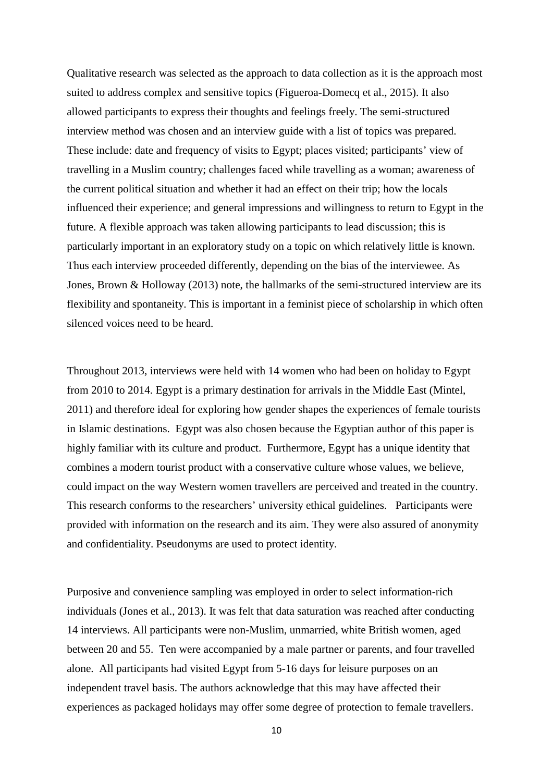Qualitative research was selected as the approach to data collection as it is the approach most suited to address complex and sensitive topics (Figueroa-Domecq et al., 2015). It also allowed participants to express their thoughts and feelings freely. The semi-structured interview method was chosen and an interview guide with a list of topics was prepared. These include: date and frequency of visits to Egypt; places visited; participants' view of travelling in a Muslim country; challenges faced while travelling as a woman; awareness of the current political situation and whether it had an effect on their trip; how the locals influenced their experience; and general impressions and willingness to return to Egypt in the future. A flexible approach was taken allowing participants to lead discussion; this is particularly important in an exploratory study on a topic on which relatively little is known. Thus each interview proceeded differently, depending on the bias of the interviewee. As Jones, Brown & Holloway (2013) note, the hallmarks of the semi-structured interview are its flexibility and spontaneity. This is important in a feminist piece of scholarship in which often silenced voices need to be heard.

Throughout 2013, interviews were held with 14 women who had been on holiday to Egypt from 2010 to 2014. Egypt is a primary destination for arrivals in the Middle East (Mintel, 2011) and therefore ideal for exploring how gender shapes the experiences of female tourists in Islamic destinations. Egypt was also chosen because the Egyptian author of this paper is highly familiar with its culture and product. Furthermore, Egypt has a unique identity that combines a modern tourist product with a conservative culture whose values, we believe, could impact on the way Western women travellers are perceived and treated in the country. This research conforms to the researchers' university ethical guidelines. Participants were provided with information on the research and its aim. They were also assured of anonymity and confidentiality. Pseudonyms are used to protect identity.

Purposive and convenience sampling was employed in order to select information-rich individuals (Jones et al., 2013). It was felt that data saturation was reached after conducting 14 interviews. All participants were non-Muslim, unmarried, white British women, aged between 20 and 55. Ten were accompanied by a male partner or parents, and four travelled alone. All participants had visited Egypt from 5-16 days for leisure purposes on an independent travel basis. The authors acknowledge that this may have affected their experiences as packaged holidays may offer some degree of protection to female travellers.

10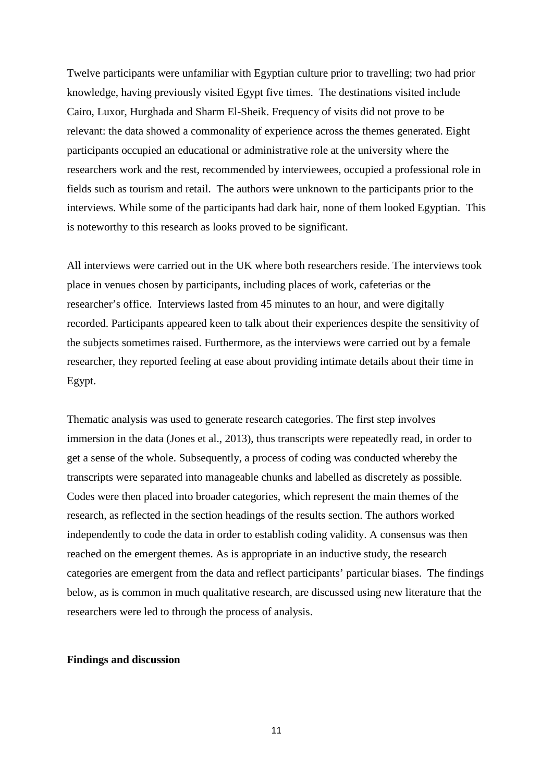Twelve participants were unfamiliar with Egyptian culture prior to travelling; two had prior knowledge, having previously visited Egypt five times. The destinations visited include Cairo, Luxor, Hurghada and Sharm El-Sheik. Frequency of visits did not prove to be relevant: the data showed a commonality of experience across the themes generated. Eight participants occupied an educational or administrative role at the university where the researchers work and the rest, recommended by interviewees, occupied a professional role in fields such as tourism and retail. The authors were unknown to the participants prior to the interviews. While some of the participants had dark hair, none of them looked Egyptian. This is noteworthy to this research as looks proved to be significant.

All interviews were carried out in the UK where both researchers reside. The interviews took place in venues chosen by participants, including places of work, cafeterias or the researcher's office. Interviews lasted from 45 minutes to an hour, and were digitally recorded. Participants appeared keen to talk about their experiences despite the sensitivity of the subjects sometimes raised. Furthermore, as the interviews were carried out by a female researcher, they reported feeling at ease about providing intimate details about their time in Egypt.

Thematic analysis was used to generate research categories. The first step involves immersion in the data (Jones et al., 2013), thus transcripts were repeatedly read, in order to get a sense of the whole. Subsequently, a process of coding was conducted whereby the transcripts were separated into manageable chunks and labelled as discretely as possible. Codes were then placed into broader categories, which represent the main themes of the research, as reflected in the section headings of the results section. The authors worked independently to code the data in order to establish coding validity. A consensus was then reached on the emergent themes. As is appropriate in an inductive study, the research categories are emergent from the data and reflect participants' particular biases. The findings below, as is common in much qualitative research, are discussed using new literature that the researchers were led to through the process of analysis.

### **Findings and discussion**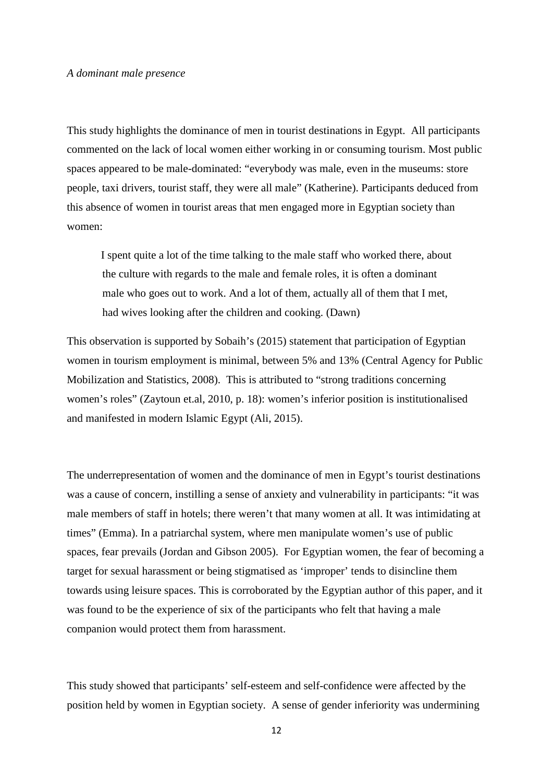# *A dominant male presence*

This study highlights the dominance of men in tourist destinations in Egypt. All participants commented on the lack of local women either working in or consuming tourism. Most public spaces appeared to be male-dominated: "everybody was male, even in the museums: store people, taxi drivers, tourist staff, they were all male" (Katherine). Participants deduced from this absence of women in tourist areas that men engaged more in Egyptian society than women:

I spent quite a lot of the time talking to the male staff who worked there, about the culture with regards to the male and female roles, it is often a dominant male who goes out to work. And a lot of them, actually all of them that I met, had wives looking after the children and cooking. (Dawn)

This observation is supported by Sobaih's (2015) statement that participation of Egyptian women in tourism employment is minimal, between 5% and 13% (Central Agency for Public Mobilization and Statistics, 2008). This is attributed to "strong traditions concerning women's roles" (Zaytoun et.al, 2010, p. 18): women's inferior position is institutionalised and manifested in modern Islamic Egypt (Ali, 2015).

The underrepresentation of women and the dominance of men in Egypt's tourist destinations was a cause of concern, instilling a sense of anxiety and vulnerability in participants: "it was male members of staff in hotels; there weren't that many women at all. It was intimidating at times" (Emma). In a patriarchal system, where men manipulate women's use of public spaces, fear prevails (Jordan and Gibson 2005). For Egyptian women, the fear of becoming a target for sexual harassment or being stigmatised as 'improper' tends to disincline them towards using leisure spaces. This is corroborated by the Egyptian author of this paper, and it was found to be the experience of six of the participants who felt that having a male companion would protect them from harassment.

This study showed that participants' self-esteem and self-confidence were affected by the position held by women in Egyptian society. A sense of gender inferiority was undermining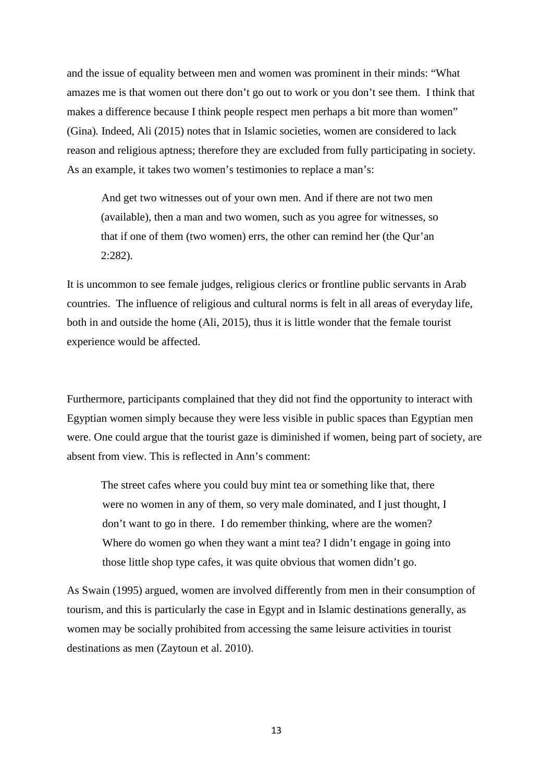and the issue of equality between men and women was prominent in their minds: "What amazes me is that women out there don't go out to work or you don't see them. I think that makes a difference because I think people respect men perhaps a bit more than women" (Gina)*.* Indeed, Ali (2015) notes that in Islamic societies, women are considered to lack reason and religious aptness; therefore they are excluded from fully participating in society. As an example, it takes two women's testimonies to replace a man's:

And get two witnesses out of your own men. And if there are not two men (available), then a man and two women, such as you agree for witnesses, so that if one of them (two women) errs, the other can remind her (the Qur'an 2:282).

It is uncommon to see female judges, religious clerics or frontline public servants in Arab countries. The influence of religious and cultural norms is felt in all areas of everyday life, both in and outside the home (Ali, 2015), thus it is little wonder that the female tourist experience would be affected.

Furthermore, participants complained that they did not find the opportunity to interact with Egyptian women simply because they were less visible in public spaces than Egyptian men were. One could argue that the tourist gaze is diminished if women, being part of society, are absent from view. This is reflected in Ann's comment:

The street cafes where you could buy mint tea or something like that, there were no women in any of them, so very male dominated, and I just thought, I don't want to go in there. I do remember thinking, where are the women? Where do women go when they want a mint tea? I didn't engage in going into those little shop type cafes, it was quite obvious that women didn't go.

As Swain (1995) argued, women are involved differently from men in their consumption of tourism, and this is particularly the case in Egypt and in Islamic destinations generally, as women may be socially prohibited from accessing the same leisure activities in tourist destinations as men (Zaytoun et al. 2010).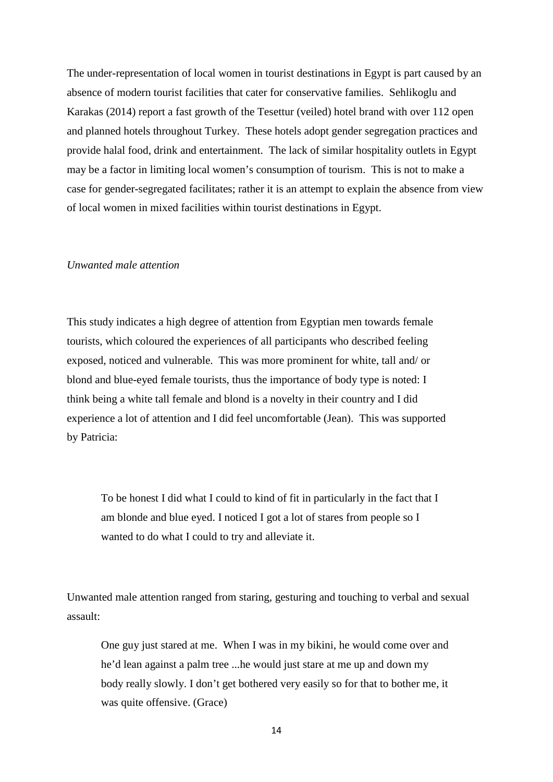The under-representation of local women in tourist destinations in Egypt is part caused by an absence of modern tourist facilities that cater for conservative families. Sehlikoglu and Karakas (2014) report a fast growth of the Tesettur (veiled) hotel brand with over 112 open and planned hotels throughout Turkey. These hotels adopt gender segregation practices and provide halal food, drink and entertainment. The lack of similar hospitality outlets in Egypt may be a factor in limiting local women's consumption of tourism. This is not to make a case for gender-segregated facilitates; rather it is an attempt to explain the absence from view of local women in mixed facilities within tourist destinations in Egypt.

# *Unwanted male attention*

This study indicates a high degree of attention from Egyptian men towards female tourists, which coloured the experiences of all participants who described feeling exposed, noticed and vulnerable. This was more prominent for white, tall and/ or blond and blue-eyed female tourists, thus the importance of body type is noted: I think being a white tall female and blond is a novelty in their country and I did experience a lot of attention and I did feel uncomfortable (Jean). This was supported by Patricia:

To be honest I did what I could to kind of fit in particularly in the fact that I am blonde and blue eyed. I noticed I got a lot of stares from people so I wanted to do what I could to try and alleviate it.

Unwanted male attention ranged from staring, gesturing and touching to verbal and sexual assault:

One guy just stared at me. When I was in my bikini, he would come over and he'd lean against a palm tree ...he would just stare at me up and down my body really slowly. I don't get bothered very easily so for that to bother me, it was quite offensive. (Grace)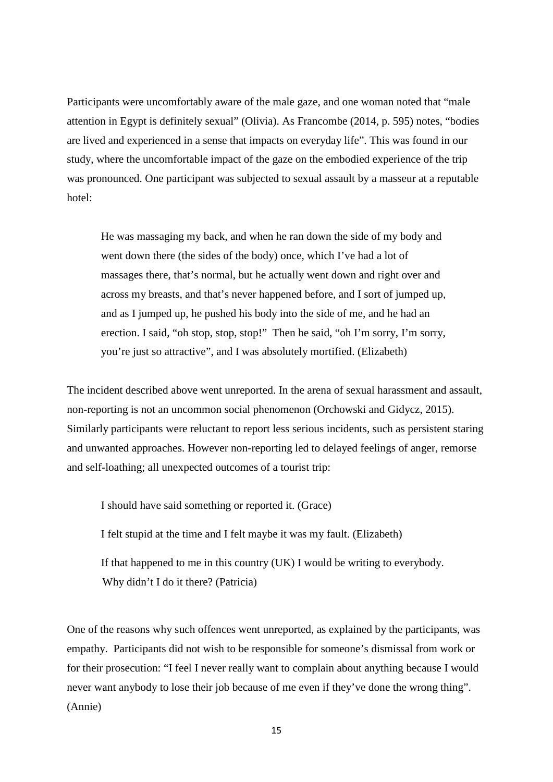Participants were uncomfortably aware of the male gaze, and one woman noted that "male attention in Egypt is definitely sexual" (Olivia). As Francombe (2014, p. 595) notes, "bodies are lived and experienced in a sense that impacts on everyday life". This was found in our study, where the uncomfortable impact of the gaze on the embodied experience of the trip was pronounced. One participant was subjected to sexual assault by a masseur at a reputable hotel:

He was massaging my back, and when he ran down the side of my body and went down there (the sides of the body) once, which I've had a lot of massages there, that's normal, but he actually went down and right over and across my breasts, and that's never happened before, and I sort of jumped up, and as I jumped up, he pushed his body into the side of me, and he had an erection. I said, "oh stop, stop, stop!" Then he said, "oh I'm sorry, I'm sorry, you're just so attractive", and I was absolutely mortified. (Elizabeth)

The incident described above went unreported. In the arena of sexual harassment and assault, non-reporting is not an uncommon social phenomenon (Orchowski and Gidycz, 2015). Similarly participants were reluctant to report less serious incidents, such as persistent staring and unwanted approaches. However non-reporting led to delayed feelings of anger, remorse and self-loathing; all unexpected outcomes of a tourist trip:

I should have said something or reported it. (Grace) I felt stupid at the time and I felt maybe it was my fault. (Elizabeth) If that happened to me in this country (UK) I would be writing to everybody. Why didn't I do it there? (Patricia)

One of the reasons why such offences went unreported, as explained by the participants, was empathy. Participants did not wish to be responsible for someone's dismissal from work or for their prosecution: "I feel I never really want to complain about anything because I would never want anybody to lose their job because of me even if they've done the wrong thing". (Annie)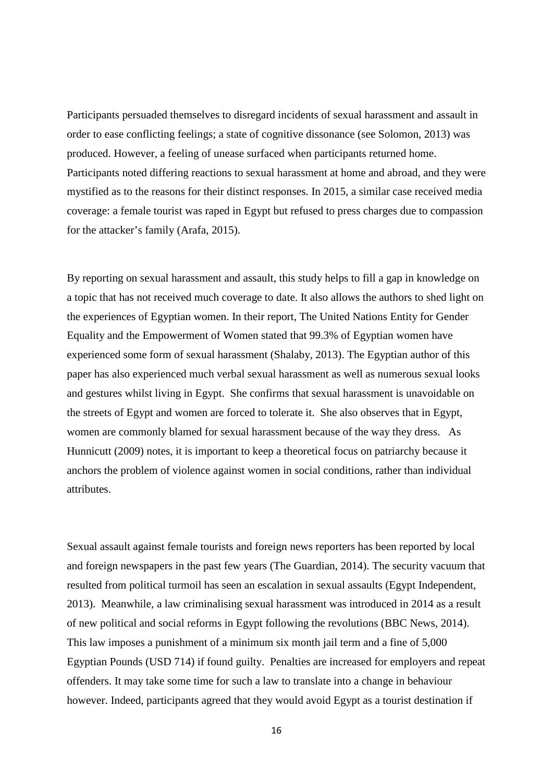Participants persuaded themselves to disregard incidents of sexual harassment and assault in order to ease conflicting feelings; a state of cognitive dissonance (see Solomon, 2013) was produced. However, a feeling of unease surfaced when participants returned home. Participants noted differing reactions to sexual harassment at home and abroad, and they were mystified as to the reasons for their distinct responses. In 2015, a similar case received media coverage: a female tourist was raped in Egypt but refused to press charges due to compassion for the attacker's family (Arafa, 2015).

By reporting on sexual harassment and assault, this study helps to fill a gap in knowledge on a topic that has not received much coverage to date. It also allows the authors to shed light on the experiences of Egyptian women. In their report, The United Nations Entity for Gender Equality and the Empowerment of Women stated that 99.3% of Egyptian women have experienced some form of sexual harassment (Shalaby, 2013). The Egyptian author of this paper has also experienced much verbal sexual harassment as well as numerous sexual looks and gestures whilst living in Egypt. She confirms that sexual harassment is unavoidable on the streets of Egypt and women are forced to tolerate it. She also observes that in Egypt, women are commonly blamed for sexual harassment because of the way they dress. As Hunnicutt (2009) notes, it is important to keep a theoretical focus on patriarchy because it anchors the problem of violence against women in social conditions, rather than individual attributes.

Sexual assault against female tourists and foreign news reporters has been reported by local and foreign newspapers in the past few years (The Guardian, 2014). The security vacuum that resulted from political turmoil has seen an escalation in sexual assaults (Egypt Independent, 2013). Meanwhile, a law criminalising sexual harassment was introduced in 2014 as a result of new political and social reforms in Egypt following the revolutions (BBC News, 2014). This law imposes a punishment of a minimum six month jail term and a fine of 5,000 Egyptian Pounds (USD 714) if found guilty. Penalties are increased for employers and repeat offenders. It may take some time for such a law to translate into a change in behaviour however. Indeed, participants agreed that they would avoid Egypt as a tourist destination if

16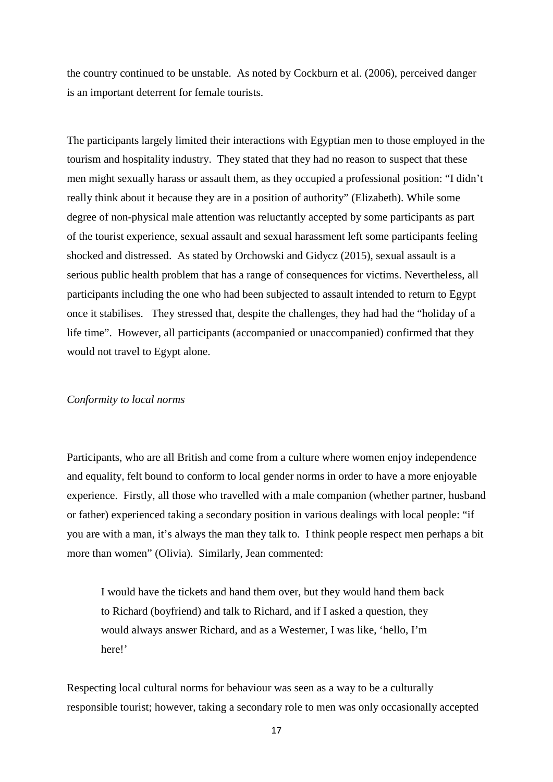the country continued to be unstable. As noted by Cockburn et al. (2006), perceived danger is an important deterrent for female tourists.

The participants largely limited their interactions with Egyptian men to those employed in the tourism and hospitality industry. They stated that they had no reason to suspect that these men might sexually harass or assault them, as they occupied a professional position: "I didn't really think about it because they are in a position of authority" (Elizabeth). While some degree of non-physical male attention was reluctantly accepted by some participants as part of the tourist experience, sexual assault and sexual harassment left some participants feeling shocked and distressed. As stated by Orchowski and Gidycz (2015), sexual assault is a serious public health problem that has a range of consequences for victims. Nevertheless, all participants including the one who had been subjected to assault intended to return to Egypt once it stabilises. They stressed that, despite the challenges, they had had the "holiday of a life time". However, all participants (accompanied or unaccompanied) confirmed that they would not travel to Egypt alone.

# *Conformity to local norms*

Participants, who are all British and come from a culture where women enjoy independence and equality, felt bound to conform to local gender norms in order to have a more enjoyable experience. Firstly, all those who travelled with a male companion (whether partner, husband or father) experienced taking a secondary position in various dealings with local people: "if you are with a man, it's always the man they talk to. I think people respect men perhaps a bit more than women" (Olivia). Similarly, Jean commented:

I would have the tickets and hand them over, but they would hand them back to Richard (boyfriend) and talk to Richard, and if I asked a question, they would always answer Richard, and as a Westerner, I was like, 'hello, I'm here!'

Respecting local cultural norms for behaviour was seen as a way to be a culturally responsible tourist; however, taking a secondary role to men was only occasionally accepted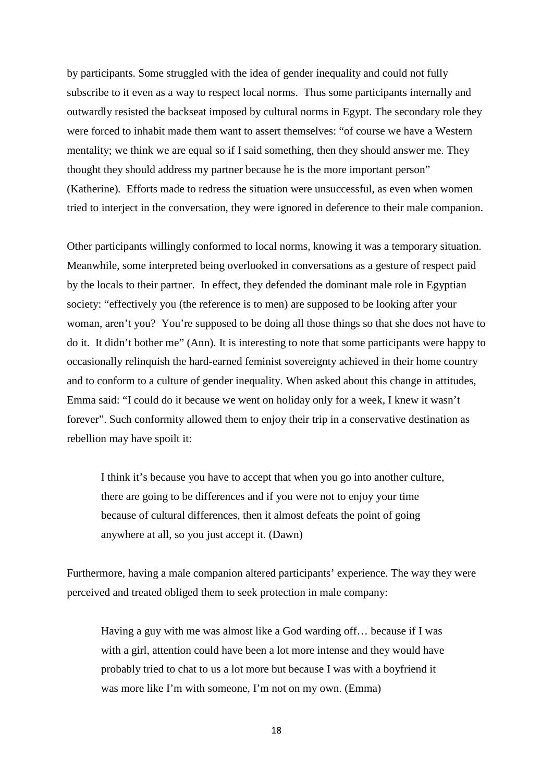by participants. Some struggled with the idea of gender inequality and could not fully subscribe to it even as a way to respect local norms. Thus some participants internally and outwardly resisted the backseat imposed by cultural norms in Egypt. The secondary role they were forced to inhabit made them want to assert themselves: "of course we have a Western mentality; we think we are equal so if I said something, then they should answer me. They thought they should address my partner because he is the more important person" (Katherine)*.* Efforts made to redress the situation were unsuccessful, as even when women tried to interject in the conversation, they were ignored in deference to their male companion.

Other participants willingly conformed to local norms, knowing it was a temporary situation. Meanwhile, some interpreted being overlooked in conversations as a gesture of respect paid by the locals to their partner. In effect, they defended the dominant male role in Egyptian society: "effectively you (the reference is to men) are supposed to be looking after your woman, aren't you? You're supposed to be doing all those things so that she does not have to do it. It didn't bother me" (Ann). It is interesting to note that some participants were happy to occasionally relinquish the hard-earned feminist sovereignty achieved in their home country and to conform to a culture of gender inequality. When asked about this change in attitudes, Emma said: "I could do it because we went on holiday only for a week, I knew it wasn't forever". Such conformity allowed them to enjoy their trip in a conservative destination as rebellion may have spoilt it:

I think it's because you have to accept that when you go into another culture, there are going to be differences and if you were not to enjoy your time because of cultural differences, then it almost defeats the point of going anywhere at all, so you just accept it. (Dawn)

Furthermore, having a male companion altered participants' experience. The way they were perceived and treated obliged them to seek protection in male company:

Having a guy with me was almost like a God warding off… because if I was with a girl, attention could have been a lot more intense and they would have probably tried to chat to us a lot more but because I was with a boyfriend it was more like I'm with someone, I'm not on my own. (Emma)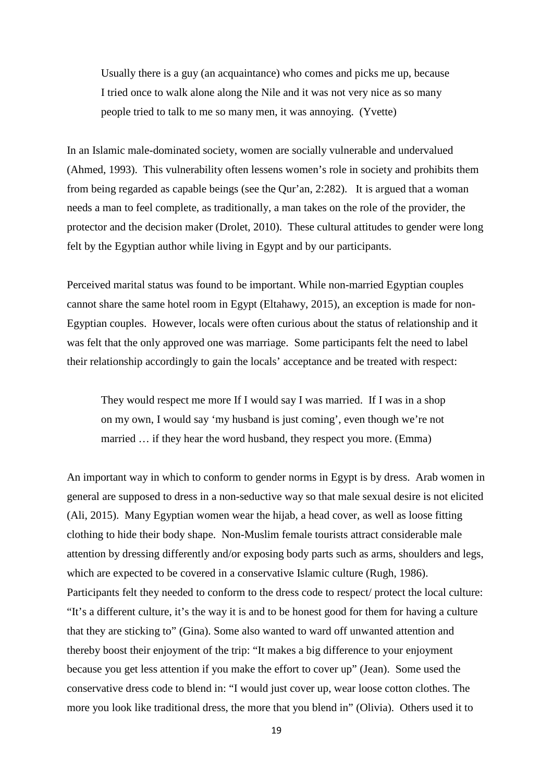Usually there is a guy (an acquaintance) who comes and picks me up, because I tried once to walk alone along the Nile and it was not very nice as so many people tried to talk to me so many men, it was annoying. (Yvette)

In an Islamic male-dominated society, women are socially vulnerable and undervalued (Ahmed, 1993). This vulnerability often lessens women's role in society and prohibits them from being regarded as capable beings (see the Qur'an, 2:282). It is argued that a woman needs a man to feel complete, as traditionally, a man takes on the role of the provider, the protector and the decision maker (Drolet, 2010). These cultural attitudes to gender were long felt by the Egyptian author while living in Egypt and by our participants.

Perceived marital status was found to be important. While non-married Egyptian couples cannot share the same hotel room in Egypt (Eltahawy, 2015), an exception is made for non-Egyptian couples. However, locals were often curious about the status of relationship and it was felt that the only approved one was marriage. Some participants felt the need to label their relationship accordingly to gain the locals' acceptance and be treated with respect:

They would respect me more If I would say I was married. If I was in a shop on my own, I would say 'my husband is just coming', even though we're not married ... if they hear the word husband, they respect you more. (Emma)

An important way in which to conform to gender norms in Egypt is by dress. Arab women in general are supposed to dress in a non-seductive way so that male sexual desire is not elicited (Ali, 2015). Many Egyptian women wear the hijab, a head cover, as well as loose fitting clothing to hide their body shape. Non-Muslim female tourists attract considerable male attention by dressing differently and/or exposing body parts such as arms, shoulders and legs, which are expected to be covered in a conservative Islamic culture (Rugh, 1986). Participants felt they needed to conform to the dress code to respect/ protect the local culture: "It's a different culture, it's the way it is and to be honest good for them for having a culture that they are sticking to" (Gina). Some also wanted to ward off unwanted attention and thereby boost their enjoyment of the trip: "It makes a big difference to your enjoyment because you get less attention if you make the effort to cover up" (Jean). Some used the conservative dress code to blend in: "I would just cover up, wear loose cotton clothes. The more you look like traditional dress, the more that you blend in" (Olivia). Others used it to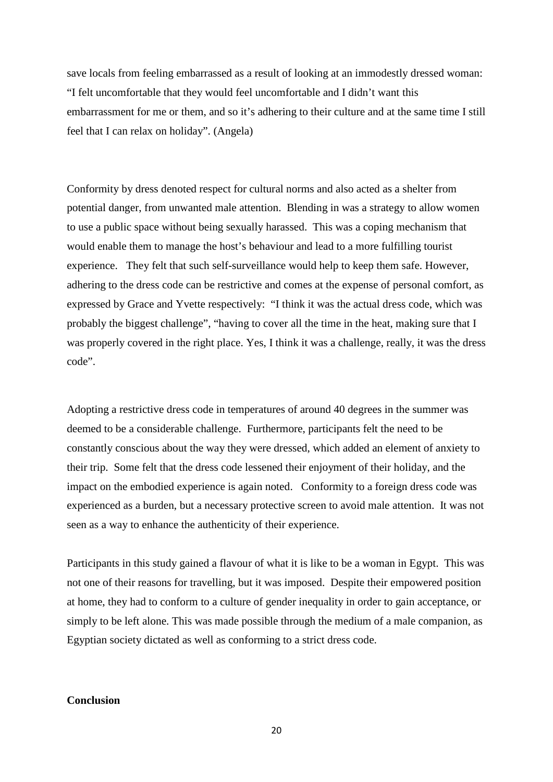save locals from feeling embarrassed as a result of looking at an immodestly dressed woman: "I felt uncomfortable that they would feel uncomfortable and I didn't want this embarrassment for me or them, and so it's adhering to their culture and at the same time I still feel that I can relax on holiday". (Angela)

Conformity by dress denoted respect for cultural norms and also acted as a shelter from potential danger, from unwanted male attention. Blending in was a strategy to allow women to use a public space without being sexually harassed. This was a coping mechanism that would enable them to manage the host's behaviour and lead to a more fulfilling tourist experience. They felt that such self-surveillance would help to keep them safe. However, adhering to the dress code can be restrictive and comes at the expense of personal comfort, as expressed by Grace and Yvette respectively: "I think it was the actual dress code, which was probably the biggest challenge", "having to cover all the time in the heat, making sure that I was properly covered in the right place. Yes, I think it was a challenge, really, it was the dress code".

Adopting a restrictive dress code in temperatures of around 40 degrees in the summer was deemed to be a considerable challenge. Furthermore, participants felt the need to be constantly conscious about the way they were dressed, which added an element of anxiety to their trip. Some felt that the dress code lessened their enjoyment of their holiday, and the impact on the embodied experience is again noted. Conformity to a foreign dress code was experienced as a burden, but a necessary protective screen to avoid male attention. It was not seen as a way to enhance the authenticity of their experience.

Participants in this study gained a flavour of what it is like to be a woman in Egypt. This was not one of their reasons for travelling, but it was imposed. Despite their empowered position at home, they had to conform to a culture of gender inequality in order to gain acceptance, or simply to be left alone. This was made possible through the medium of a male companion, as Egyptian society dictated as well as conforming to a strict dress code.

### **Conclusion**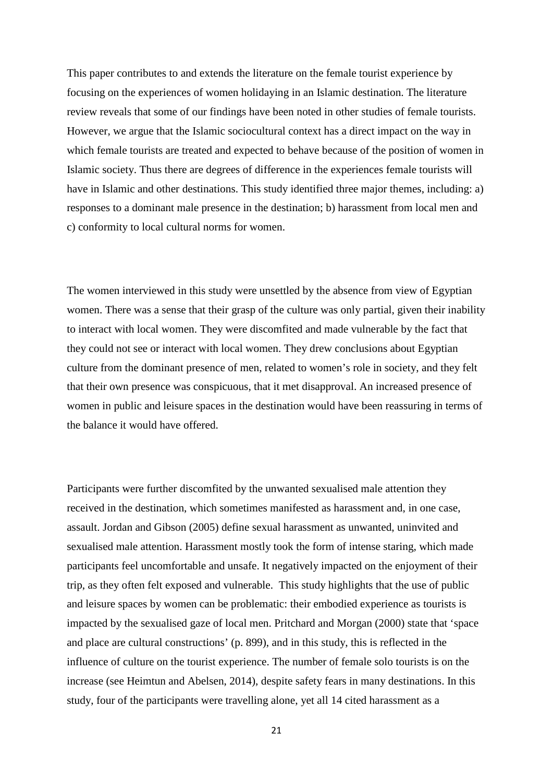This paper contributes to and extends the literature on the female tourist experience by focusing on the experiences of women holidaying in an Islamic destination. The literature review reveals that some of our findings have been noted in other studies of female tourists. However, we argue that the Islamic sociocultural context has a direct impact on the way in which female tourists are treated and expected to behave because of the position of women in Islamic society. Thus there are degrees of difference in the experiences female tourists will have in Islamic and other destinations. This study identified three major themes, including: a) responses to a dominant male presence in the destination; b) harassment from local men and c) conformity to local cultural norms for women.

The women interviewed in this study were unsettled by the absence from view of Egyptian women. There was a sense that their grasp of the culture was only partial, given their inability to interact with local women. They were discomfited and made vulnerable by the fact that they could not see or interact with local women. They drew conclusions about Egyptian culture from the dominant presence of men, related to women's role in society, and they felt that their own presence was conspicuous, that it met disapproval. An increased presence of women in public and leisure spaces in the destination would have been reassuring in terms of the balance it would have offered.

Participants were further discomfited by the unwanted sexualised male attention they received in the destination, which sometimes manifested as harassment and, in one case, assault. Jordan and Gibson (2005) define sexual harassment as unwanted, uninvited and sexualised male attention. Harassment mostly took the form of intense staring, which made participants feel uncomfortable and unsafe. It negatively impacted on the enjoyment of their trip, as they often felt exposed and vulnerable. This study highlights that the use of public and leisure spaces by women can be problematic: their embodied experience as tourists is impacted by the sexualised gaze of local men. Pritchard and Morgan (2000) state that 'space and place are cultural constructions' (p. 899), and in this study, this is reflected in the influence of culture on the tourist experience. The number of female solo tourists is on the increase (see Heimtun and Abelsen, 2014), despite safety fears in many destinations. In this study, four of the participants were travelling alone, yet all 14 cited harassment as a

21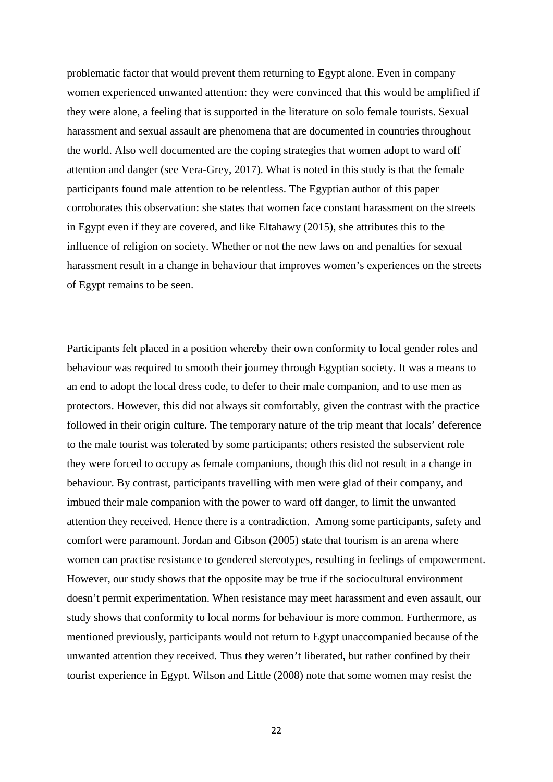problematic factor that would prevent them returning to Egypt alone. Even in company women experienced unwanted attention: they were convinced that this would be amplified if they were alone, a feeling that is supported in the literature on solo female tourists. Sexual harassment and sexual assault are phenomena that are documented in countries throughout the world. Also well documented are the coping strategies that women adopt to ward off attention and danger (see Vera-Grey, 2017). What is noted in this study is that the female participants found male attention to be relentless. The Egyptian author of this paper corroborates this observation: she states that women face constant harassment on the streets in Egypt even if they are covered, and like Eltahawy (2015), she attributes this to the influence of religion on society. Whether or not the new laws on and penalties for sexual harassment result in a change in behaviour that improves women's experiences on the streets of Egypt remains to be seen.

Participants felt placed in a position whereby their own conformity to local gender roles and behaviour was required to smooth their journey through Egyptian society. It was a means to an end to adopt the local dress code, to defer to their male companion, and to use men as protectors. However, this did not always sit comfortably, given the contrast with the practice followed in their origin culture. The temporary nature of the trip meant that locals' deference to the male tourist was tolerated by some participants; others resisted the subservient role they were forced to occupy as female companions, though this did not result in a change in behaviour. By contrast, participants travelling with men were glad of their company, and imbued their male companion with the power to ward off danger, to limit the unwanted attention they received. Hence there is a contradiction. Among some participants, safety and comfort were paramount. Jordan and Gibson (2005) state that tourism is an arena where women can practise resistance to gendered stereotypes, resulting in feelings of empowerment. However, our study shows that the opposite may be true if the sociocultural environment doesn't permit experimentation. When resistance may meet harassment and even assault, our study shows that conformity to local norms for behaviour is more common. Furthermore, as mentioned previously, participants would not return to Egypt unaccompanied because of the unwanted attention they received. Thus they weren't liberated, but rather confined by their tourist experience in Egypt. Wilson and Little (2008) note that some women may resist the

22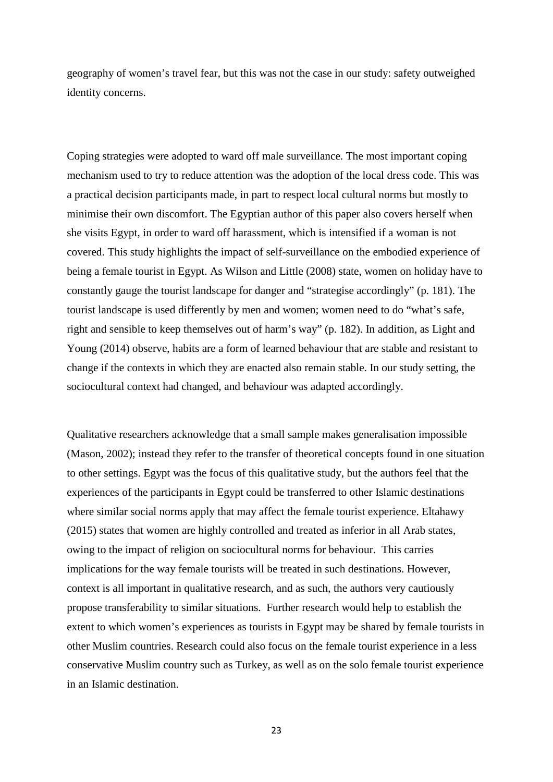geography of women's travel fear, but this was not the case in our study: safety outweighed identity concerns.

Coping strategies were adopted to ward off male surveillance. The most important coping mechanism used to try to reduce attention was the adoption of the local dress code. This was a practical decision participants made, in part to respect local cultural norms but mostly to minimise their own discomfort. The Egyptian author of this paper also covers herself when she visits Egypt, in order to ward off harassment, which is intensified if a woman is not covered. This study highlights the impact of self-surveillance on the embodied experience of being a female tourist in Egypt. As Wilson and Little (2008) state, women on holiday have to constantly gauge the tourist landscape for danger and "strategise accordingly" (p. 181). The tourist landscape is used differently by men and women; women need to do "what's safe, right and sensible to keep themselves out of harm's way" (p. 182). In addition, as Light and Young (2014) observe, habits are a form of learned behaviour that are stable and resistant to change if the contexts in which they are enacted also remain stable. In our study setting, the sociocultural context had changed, and behaviour was adapted accordingly.

Qualitative researchers acknowledge that a small sample makes generalisation impossible (Mason, 2002); instead they refer to the transfer of theoretical concepts found in one situation to other settings. Egypt was the focus of this qualitative study, but the authors feel that the experiences of the participants in Egypt could be transferred to other Islamic destinations where similar social norms apply that may affect the female tourist experience. Eltahawy (2015) states that women are highly controlled and treated as inferior in all Arab states, owing to the impact of religion on sociocultural norms for behaviour. This carries implications for the way female tourists will be treated in such destinations. However, context is all important in qualitative research, and as such, the authors very cautiously propose transferability to similar situations. Further research would help to establish the extent to which women's experiences as tourists in Egypt may be shared by female tourists in other Muslim countries. Research could also focus on the female tourist experience in a less conservative Muslim country such as Turkey, as well as on the solo female tourist experience in an Islamic destination.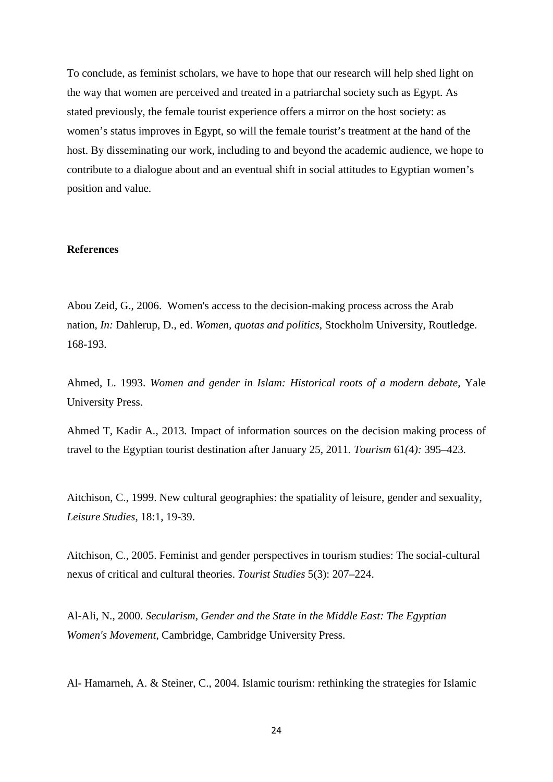To conclude, as feminist scholars, we have to hope that our research will help shed light on the way that women are perceived and treated in a patriarchal society such as Egypt. As stated previously, the female tourist experience offers a mirror on the host society: as women's status improves in Egypt, so will the female tourist's treatment at the hand of the host. By disseminating our work, including to and beyond the academic audience, we hope to contribute to a dialogue about and an eventual shift in social attitudes to Egyptian women's position and value.

#### **References**

Abou Zeid, G., 2006. Women's access to the decision-making process across the Arab nation, *In:* Dahlerup, D., ed. *Women, quotas and politics*, Stockholm University, Routledge. 168-193.

Ahmed, L. 1993. *Women and gender in Islam: Historical roots of a modern debate*, Yale University Press.

Ahmed T*,* Kadir A*.*, 2013*.* Impact of information sources on the decision making process of travel to the Egyptian tourist destination after January 25, 2011*. Tourism* 61*(*4*):* 395*–*423*.*

Aitchison, C., 1999. New cultural geographies: the spatiality of leisure, gender and sexuality, *Leisure Studies*, 18:1, 19-39.

Aitchison, C., 2005. Feminist and gender perspectives in tourism studies: The social-cultural nexus of critical and cultural theories. *Tourist Studies* 5(3): 207–224.

Al-Ali, N., 2000. *Secularism, Gender and the State in the Middle East: The Egyptian Women's Movement*, Cambridge, Cambridge University Press.

Al- Hamarneh, A. & Steiner, C., 2004. Islamic tourism: rethinking the strategies for Islamic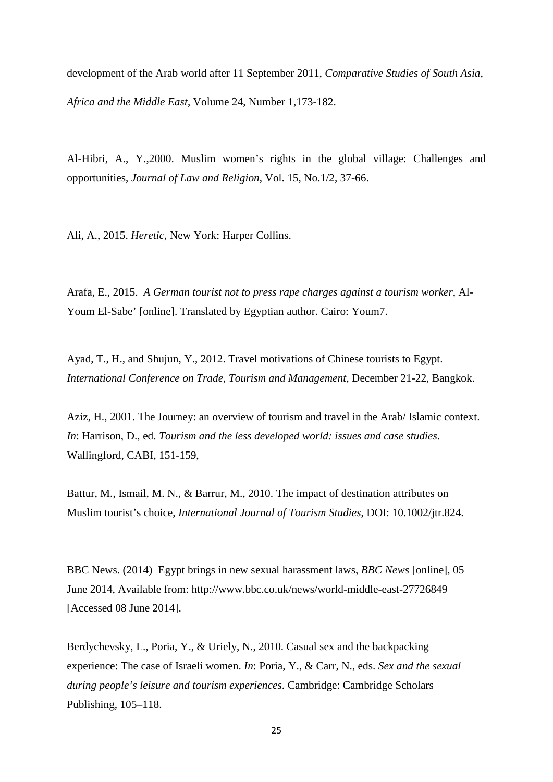development of the Arab world after 11 September 2011, *Comparative Studies of South Asia, Africa and the Middle East*, Volume 24, Number 1,173-182.

Al-Hibri, A., Y.,2000. Muslim women's rights in the global village: Challenges and opportunities, *Journal of Law and Religion*, Vol. 15, No.1/2, 37-66.

Ali, A., 2015. *Heretic*, New York: Harper Collins.

Arafa, E., 2015. *A German tourist not to press rape charges against a tourism worker*, Al-Youm El-Sabe' [online]. Translated by Egyptian author. Cairo: Youm7.

Ayad, T., H., and Shujun, Y., 2012. Travel motivations of Chinese tourists to Egypt. *International Conference on Trade, Tourism and Management*, December 21-22, Bangkok.

Aziz, H., 2001. The Journey: an overview of tourism and travel in the Arab/ Islamic context. *In*: Harrison, D., ed. *Tourism and the less developed world: issues and case studies*. Wallingford, CABI, 151-159,

Battur, M., Ismail, M. N., & Barrur, M., 2010. The impact of destination attributes on Muslim tourist's choice, *International Journal of Tourism Studies*, DOI: 10.1002/jtr.824.

BBC News. (2014) Egypt brings in new sexual harassment laws, *BBC News* [online], 05 June 2014, Available from:<http://www.bbc.co.uk/news/world-middle-east-27726849> [Accessed 08 June 2014].

Berdychevsky, L., Poria, Y., & Uriely, N., 2010. Casual sex and the backpacking experience: The case of Israeli women. *In*: Poria, Y., & Carr, N., eds. *Sex and the sexual during people's leisure and tourism experiences*. Cambridge: Cambridge Scholars Publishing, 105–118.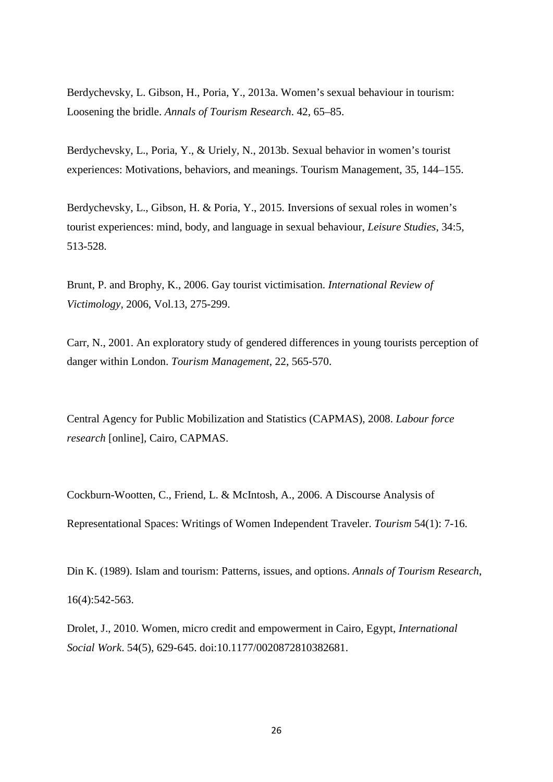Berdychevsky, L. Gibson, H., Poria, Y., 2013a. Women's sexual behaviour in tourism: Loosening the bridle. *Annals of Tourism Research*. 42, 65–85.

Berdychevsky, L., Poria, Y., & Uriely, N., 2013b. Sexual behavior in women's tourist experiences: Motivations, behaviors, and meanings. Tourism Management, 35, 144–155.

Berdychevsky, L., Gibson, H. & Poria, Y., 2015. Inversions of sexual roles in women's tourist experiences: mind, body, and language in sexual behaviour, *Leisure Studies*, 34:5, 513-528.

Brunt, P. and Brophy, K., 2006. Gay tourist victimisation. *International Review of Victimology,* 2006, Vol.13, 275-299.

Carr, N., 2001. An exploratory study of gendered differences in young tourists perception of danger within London. *Tourism Management*, 22, 565-570.

Central Agency for Public Mobilization and Statistics (CAPMAS), 2008. *Labour force research* [online], Cairo, CAPMAS.

Cockburn-Wootten, C., Friend, L. & McIntosh, A., 2006. A Discourse Analysis of Representational Spaces: Writings of Women Independent Traveler. *Tourism* 54(1): 7-16.

Din K. (1989). Islam and tourism: Patterns, issues, and options. *Annals of Tourism Research*, 16(4):542-563.

Drolet, J., 2010. Women, micro credit and empowerment in Cairo, Egypt, *International Social Work*. 54(5), 629-645. doi:10.1177/0020872810382681.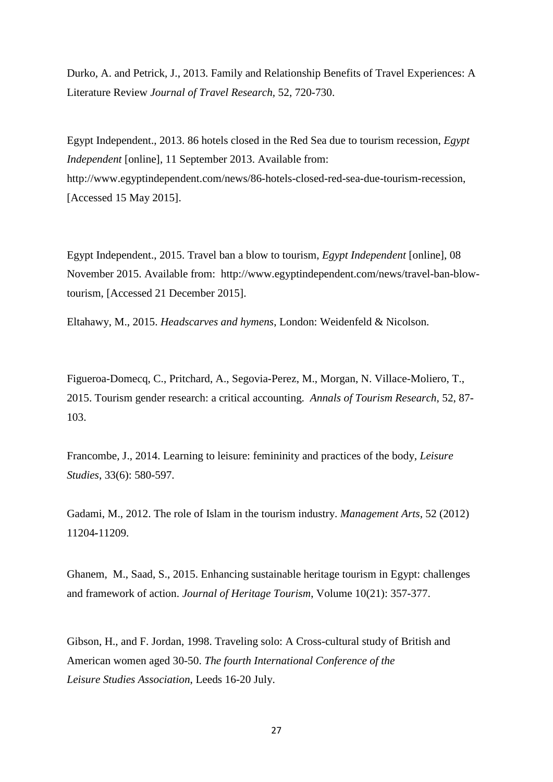Durko, A. and Petrick, J., 2013. Family and Relationship Benefits of Travel Experiences: A Literature Review *Journal of Travel Research,* 52, 720-730.

Egypt Independent., 2013. 86 hotels closed in the Red Sea due to tourism recession, *Egypt Independent* [online], 11 September 2013. Available from: [http://www.egyptindependent.com/news/86-hotels-closed-red-sea-due-tourism-recession,](http://www.egyptindependent.com/news/86-hotels-closed-red-sea-due-tourism-recession,%20%5bAccessed%2015)  [\[Accessed 15](http://www.egyptindependent.com/news/86-hotels-closed-red-sea-due-tourism-recession,%20%5bAccessed%2015) May 2015].

Egypt Independent., 2015. Travel ban a blow to tourism, *Egypt Independent* [online], 08 November 2015. Available from: http://www.egyptindependent.com/news/travel-ban-blowtourism, [Accessed 21 December 2015].

Eltahawy, M., 2015. *Headscarves and hymens*, London: Weidenfeld & Nicolson.

Figueroa-Domecq, C., Pritchard, A., Segovia-Perez, M., Morgan, N. Villace-Moliero, T., 2015. Tourism gender research: a critical accounting. *Annals of Tourism Research*, 52, 87- 103.

Francombe, J., 2014. Learning to leisure: femininity and practices of the body, *Leisure Studies*, 33(6): 580-597.

Gadami, M., 2012. The role of Islam in the tourism industry. *Management Arts*, 52 (2012) 11204*-*11209.

Ghanem, M., Saad, S., 2015. Enhancing sustainable heritage tourism in Egypt: challenges and framework of action. *Journal of Heritage Tourism*, Volume 10(21): 357-377.

Gibson, H., and F. Jordan, 1998. Traveling solo: A Cross-cultural study of British and American women aged 30-50. *The fourth International Conference of the Leisure Studies Association*, Leeds 16-20 July.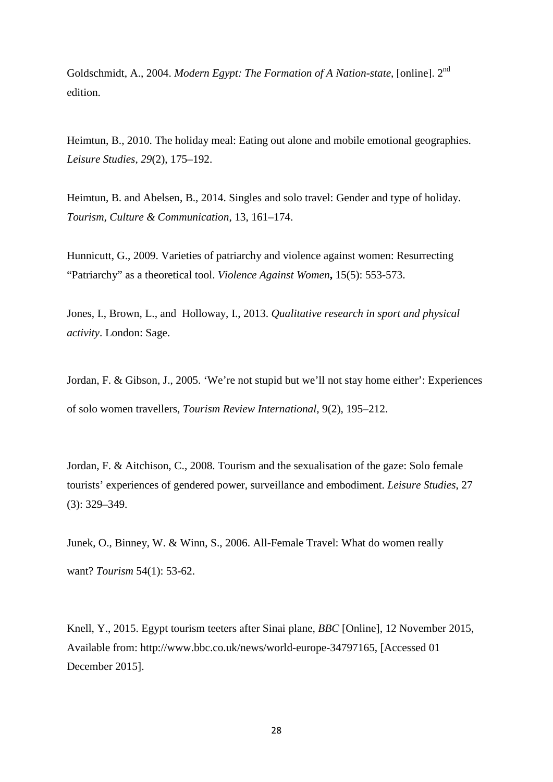Goldschmidt, A., 2004. *Modern Egypt: The Formation of A Nation-state*, [online]. 2nd edition.

Heimtun, B., 2010. The holiday meal: Eating out alone and mobile emotional geographies. *Leisure Studies*, *29*(2), 175–192.

Heimtun, B. and Abelsen, B., 2014. Singles and solo travel: Gender and type of holiday. *Tourism, Culture & Communication*, 13, 161–174.

Hunnicutt, G., 2009. Varieties of patriarchy and violence against women: Resurrecting "Patriarchy" as a theoretical tool. *Violence Against Women***,** 15(5): 553-573.

Jones, I., Brown, L., and Holloway, I., 2013. *Qualitative research in sport and physical activity*. London: Sage.

[Jordan, F. & Gibson, J., 2005.](http://www.sciencedirect.com/science/article/pii/S016073831300011X#b0130) 'We're not stupid but we'll not stay home either': Experiences of solo women travellers, *Tourism Review International*, 9(2), 195–212.

Jordan, F. & Aitchison, C., 2008. Tourism and the sexualisation of the gaze: Solo female tourists' experiences of gendered power, surveillance and embodiment. *Leisure Studies*, 27 (3): 329–349.

Junek, O., Binney, W. & Winn, S., 2006. All-Female Travel: What do women really want? *Tourism* 54(1): 53-62.

Knell, Y., 2015. Egypt tourism teeters after Sinai plane, *BBC* [Online], 12 November 2015, Available from: http://www.bbc.co.uk/news/world-europe-34797165, [Accessed 01 December 2015].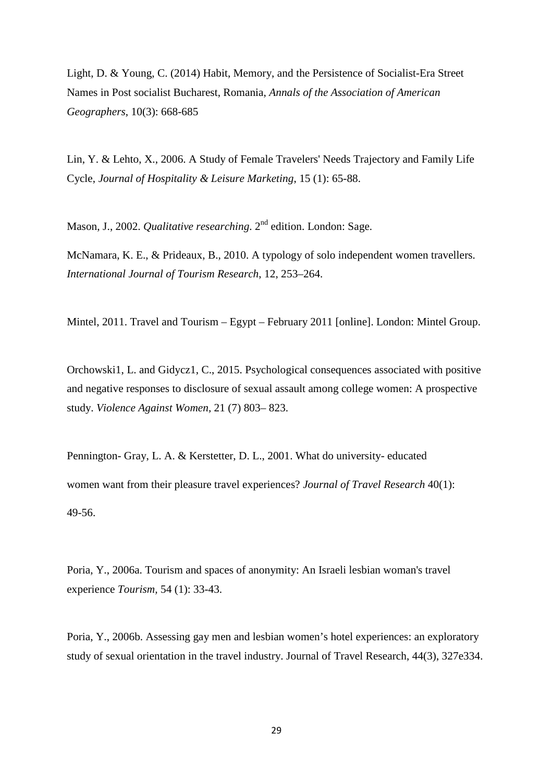Light, D. & Young, C. (2014) Habit, Memory, and the Persistence of Socialist-Era Street Names in Post socialist Bucharest, Romania, *Annals of the Association of American Geographers*, 10(3): 668-685

Lin, Y. & Lehto, X., 2006. A Study of Female Travelers' Needs Trajectory and Family Life Cycle, *Journal of Hospitality & Leisure Marketing*, 15 (1): 65-88.

Mason, J., 2002. *Qualitative researching*. 2<sup>nd</sup> edition. London: Sage.

McNamara, K. E., & Prideaux, B., 2010. A typology of solo independent women travellers. *International Journal of Tourism Research*, 12, 253–264.

Mintel, 2011. Travel and Tourism – Egypt – February 2011 [online]. London: Mintel Group.

Orchowski1, L. and Gidycz1, C., 2015. Psychological consequences associated with positive and negative responses to disclosure of sexual assault among college women: A prospective study. *Violence Against Women,* 21 (7) 803– 823.

Pennington- Gray, L. A. & Kerstetter, D. L., 2001. What do university- educated women want from their pleasure travel experiences? *Journal of Travel Research* 40(1): 49-56.

Poria, Y., 2006a. Tourism and spaces of anonymity: An Israeli lesbian woman's travel experience *Tourism,* 54 (1): 33-43.

Poria, Y., 2006b. Assessing gay men and lesbian women's hotel experiences: an exploratory study of sexual orientation in the travel industry. Journal of Travel Research, 44(3), 327e334.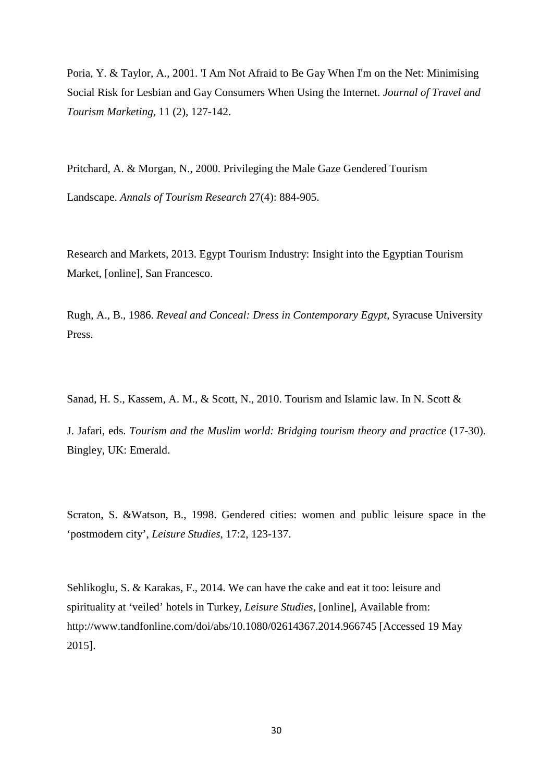Poria, Y. & Taylor, A., 2001. 'I Am Not Afraid to Be Gay When I'm on the Net: Minimising Social Risk for Lesbian and Gay Consumers When Using the Internet. *Journal of Travel and Tourism Marketing,* 11 (2), 127-142.

Pritchard, A. & Morgan, N., 2000. Privileging the Male Gaze Gendered Tourism Landscape. *Annals of Tourism Research* 27(4): 884-905.

Research and Markets, 2013. Egypt Tourism Industry: Insight into the Egyptian Tourism Market, [online], San Francesco.

Rugh, A., B., 1986. *Reveal and Conceal: Dress in Contemporary Egypt*, Syracuse University Press.

Sanad, H. S., Kassem, A. M., & Scott, N., 2010. Tourism and Islamic law. In N. Scott &

J. Jafari, eds. *Tourism and the Muslim world: Bridging tourism theory and practice* (17-30). Bingley, UK: Emerald.

Scraton, S. &Watson, B., 1998. Gendered cities: women and public leisure space in the 'postmodern city', *Leisure Studies*, 17:2, 123-137.

Sehlikoglu, S. & Karakas, F., 2014. We can have the cake and eat it too: leisure and spirituality at 'veiled' hotels in Turkey*, Leisure Studies*, [online], Available from: http://www.tandfonline.com/doi/abs/10.1080/02614367.2014.966745 [Accessed 19 May 2015].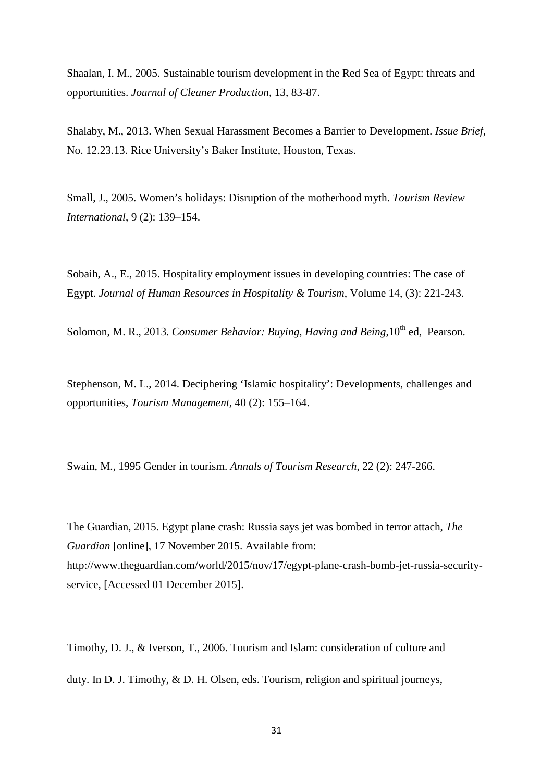Shaalan, I. M., 2005. Sustainable tourism development in the Red Sea of Egypt: threats and opportunities. *Journal of Cleaner Production*, 13, 83-87.

Shalaby, M., 2013. When Sexual Harassment Becomes a Barrier to Development. *Issue Brief*, No. 12.23.13. Rice University's Baker Institute, Houston, Texas.

Small, J., [2005.](http://www.sciencedirect.com/science/article/pii/S016073831300011X#b0185) Women's holidays: Disruption of the motherhood myth. *Tourism Review International*, 9 (2): 139–154.

Sobaih, A., E., 2015. Hospitality employment issues in developing countries: The case of Egypt. *Journal of Human Resources in Hospitality & Tourism*, [Volume 14,](http://www.tandfonline.com/loi/whrh20?open=14#vol_14) (3): 221-243.

Solomon, M. R., 2013. *Consumer Behavior: Buying, Having and Being*, 10<sup>th</sup> ed, Pearson.

Stephenson, M. L., 2014. Deciphering 'Islamic hospitality': Developments, challenges and opportunities, *Tourism Management*, 40 (2): 155–164.

Swain, M., 1995 Gender in tourism. *Annals of Tourism Research*, 22 (2): 247-266.

The Guardian, 2015. Egypt plane crash: Russia says jet was bombed in terror attach, *The Guardian* [online], 17 November 2015. Available from: http://www.theguardian.com/world/2015/nov/17/egypt-plane-crash-bomb-jet-russia-securityservice, [Accessed 01 December 2015].

Timothy, D. J., & Iverson, T., 2006. Tourism and Islam: consideration of culture and duty. In D. J. Timothy, & D. H. Olsen, eds. Tourism, religion and spiritual journeys,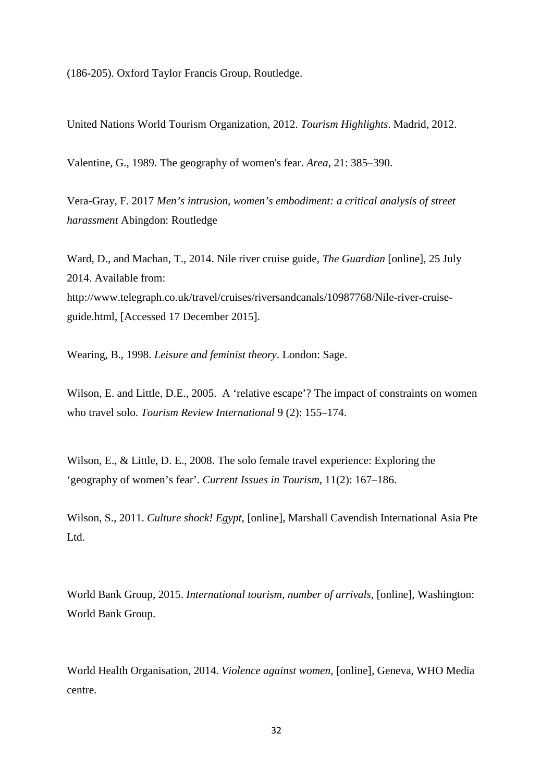(186-205). Oxford Taylor Francis Group, Routledge.

United Nations World Tourism Organization, 2012. *Tourism Highlights*. Madrid, 2012.

Valentine, G., 1989. The geography of women's fear. *Area*, 21: 385–390.

Vera-Gray, F. 2017 *Men's intrusion, women's embodiment: a critical analysis of street harassment* Abingdon: Routledge

Ward, D., and Machan, T., 2014. Nile river cruise guide, *The Guardian* [online], 25 July 2014. Available from: [http://www.telegraph.co.uk/travel/cruises/riversandcanals/10987768/Nile-river-cruise](http://www.telegraph.co.uk/travel/cruises/riversandcanals/10987768/Nile-river-cruise-guide.html)[guide.html,](http://www.telegraph.co.uk/travel/cruises/riversandcanals/10987768/Nile-river-cruise-guide.html) [Accessed 17 December 2015].

Wearing, B., 1998. *Leisure and feminist theory*. London: Sage.

Wilson, E. and Little, D.E., 2005. A 'relative escape'? The impact of constraints on women who travel solo. *Tourism Review International* 9 (2): 155–174.

Wilson, E., & Little, D. E., 2008. The solo female travel experience: Exploring the 'geography of women's fear'. *Current Issues in Tourism*, 11(2): 167–186.

Wilson, S., 2011. *Culture shock! Egypt*, [online], Marshall Cavendish International Asia Pte Ltd.

World Bank Group, 2015. *International tourism, number of arrivals*, [online], Washington: World Bank Group.

World Health Organisation, 2014. *Violence against women*, [online], Geneva, WHO Media centre.